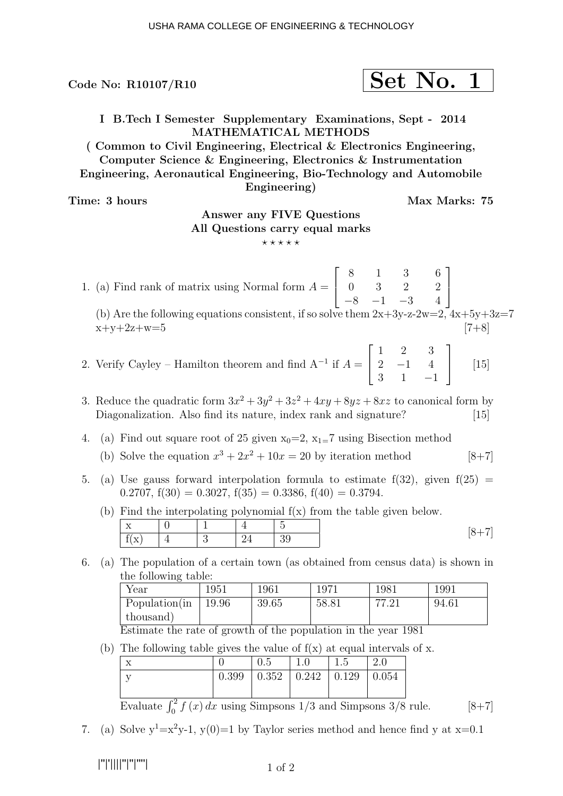$\rm{Code~No:~R10107/R10} \qquad \qquad \textcolor{red}{\textbf{Set}~No.~1}$ 

I B.Tech I Semester Supplementary Examinations, Sept - 2014 MATHEMATICAL METHODS

( Common to Civil Engineering, Electrical & Electronics Engineering, Computer Science & Engineering, Electronics & Instrumentation Engineering, Aeronautical Engineering, Bio-Technology and Automobile Engineering)

Time: 3 hours Max Marks: 75

### Answer any FIVE Questions All Questions carry equal marks

 $\star\star\star\star\star$ 

- 1. (a) Find rank of matrix using Normal form  $A =$  $\sqrt{ }$  $\overline{\phantom{a}}$ 8 1 3 0 3 2  $-8$   $-1$   $-3$ 6 2 4 1  $\overline{1}$ (b) Are the following equations consistent, if so solve them  $2x+3y-z-2w=2$ ,  $4x+5y+3z=7$  $x+y+2z+w=5$  [7+8]
- 2. Verify Cayley Hamilton theorem and find  $A^{-1}$  if  $A =$  $\sqrt{ }$  $\overline{\phantom{a}}$ 1 2 3  $2 -1 4$ 3 1 −1 1 [15]
- 3. Reduce the quadratic form  $3x^2 + 3y^2 + 3z^2 + 4xy + 8yz + 8xz$  to canonical form by Diagonalization. Also find its nature, index rank and signature? [15]
- 4. (a) Find out square root of 25 given  $x_0=2$ ,  $x_1=7$  using Bisection method
	- (b) Solve the equation  $x^3 + 2x^2 + 10x = 20$  by iteration method [8+7]
- 5. (a) Use gauss forward interpolation formula to estimate  $f(32)$ , given  $f(25) =$ 0.2707,  $f(30) = 0.3027$ ,  $f(35) = 0.3386$ ,  $f(40) = 0.3794$ .
	- (b) Find the interpolating polynomial f(x) from the table given below.

| - -<br>. .<br>--                     |                          |  | - |  |
|--------------------------------------|--------------------------|--|---|--|
| $\epsilon$<br>$-$<br>.<br><b>. .</b> | $\overline{\phantom{a}}$ |  |   |  |

6. (a) The population of a certain town (as obtained from census data) is shown in the following table:

| Year           | 1951  | 1961  | 1971  | 1981           | 1991  |
|----------------|-------|-------|-------|----------------|-------|
| Population (in | 19.96 | 39.65 | 58.81 | 77.01<br>$-41$ | 94.61 |
| thousand)      |       |       |       |                |       |
| $\mathbf{m}$ . |       |       |       | 1001           |       |

Estimate the rate of growth of the population in the year 1981

(b) The following table gives the value of  $f(x)$  at equal intervals of x.

| $\overline{\mathbf{r}}$<br>∡⊾ |       | $\tilde{\phantom{a}}$<br>v.⊍ | ⊥.∪   | ∽<br>⊥.∪ | 4.U   |
|-------------------------------|-------|------------------------------|-------|----------|-------|
| $\mathbf{v}$                  | 0.399 | 0.352                        | 0.242 | 0.129    | 0.054 |
| $\Omega$                      |       |                              |       |          |       |

Evaluate  $\int_0^2 f(x) dx$  using Simpsons 1/3 and Simpsons 3/8 rule. [8+7]

7. (a) Solve  $y^1=x^2y-1$ ,  $y(0)=1$  by Taylor series method and hence find y at  $x=0.1$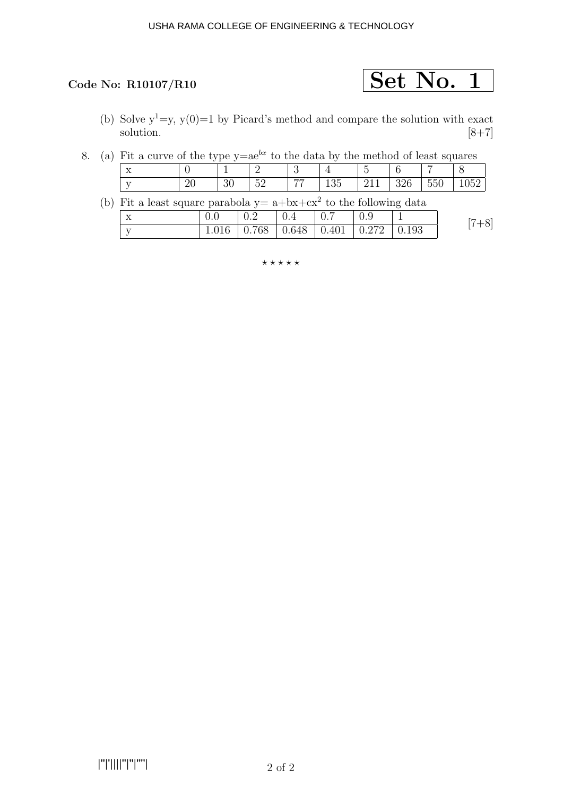

- (b) Solve y<sup>1</sup>=y, y(0)=1 by Picard's method and compare the solution with exact solution. [8+7] solution.  $[8+7]$
- 8. (a) Fit a curve of the type  $y=ae^{bx}$  to the data by the method of least squares

| $\mathbf{v}$<br>-43-<br>$-$ |           |          | -<br>-                      | ◡              |                           | - |                  |                  |  |
|-----------------------------|-----------|----------|-----------------------------|----------------|---------------------------|---|------------------|------------------|--|
| $\mathbf{v}$                | י ה<br>∠∪ | ററ<br>∪∪ | $\sim$ $\sim$<br>. 6.<br>◡▱ | $\overline{a}$ | $\cap$ $\vdash$<br>$\sim$ | - | $\sim$<br>$\sim$ | $  -$<br>∽<br>∪∪ |  |

(b) Fit a least square parabola  $y = a + bx + cx^2$  to the following data

| 77<br>$\Lambda$ | 0.0 | 0.2 | $\pm 0.4$ | $\vert 0.7$ |                                                 | $+8$ |
|-----------------|-----|-----|-----------|-------------|-------------------------------------------------|------|
|                 |     |     |           |             | $1.016$   0.768   0.648   0.401   0.272   0.193 |      |

 $***$ \*\*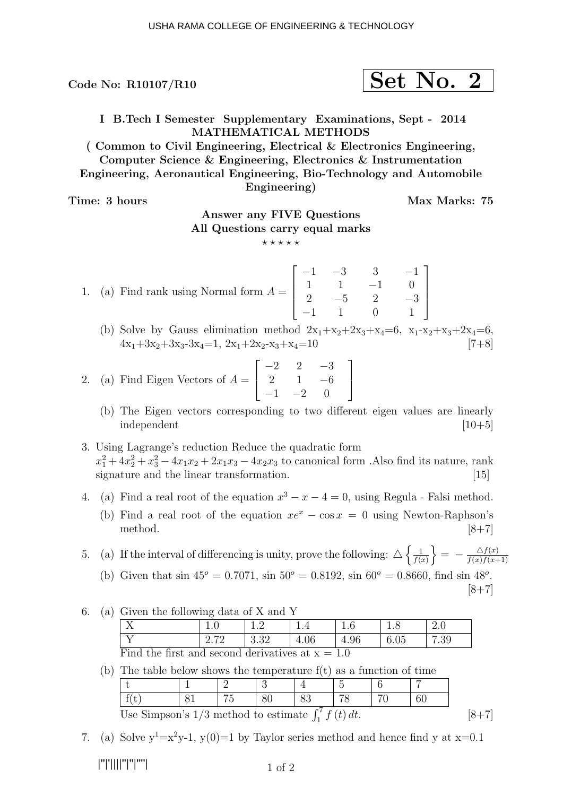$\sim$  Code No: R10107/R10  $\sim$  Set No. 2

I B.Tech I Semester Supplementary Examinations, Sept - 2014 MATHEMATICAL METHODS

( Common to Civil Engineering, Electrical & Electronics Engineering, Computer Science & Engineering, Electronics & Instrumentation Engineering, Aeronautical Engineering, Bio-Technology and Automobile Engineering)

Time: 3 hours Max Marks: 75

1

 $\Bigg\}$ 

## Answer any FIVE Questions All Questions carry equal marks

 $***$ \*\*

- 1. (a) Find rank using Normal form  $A =$  $\sqrt{ }$  −1 1 2 −1 −3 1 −5 1 3 −1 2 0 −1 0 −3 1
	- (b) Solve by Gauss elimination method  $2x_1+x_2+2x_3+x_4=6$ ,  $x_1-x_2+x_3+2x_4=6$ ,  $4x_1+3x_2+3x_3-3x_4=1, 2x_1+2x_2-x_3+x_4=10$  [7+8]
- 2. (a) Find Eigen Vectors of  $A =$  $\sqrt{ }$  $\overline{\phantom{a}}$  $-2$  2  $-3$  $2 \t 1 -6$  $-1$   $-2$  0 1  $\overline{1}$ 
	- (b) The Eigen vectors corresponding to two different eigen values are linearly  $\mu$  independent  $[10+5]$
- 3. Using Lagrange's reduction Reduce the quadratic form  $x_1^2 + 4x_2^2 + x_3^2 - 4x_1x_2 + 2x_1x_3 - 4x_2x_3$  to canonical form . Also find its nature, rank signature and the linear transformation. [15]
- 4. (a) Find a real root of the equation  $x^3 x 4 = 0$ , using Regula Falsi method.
	- (b) Find a real root of the equation  $xe^x \cos x = 0$  using Newton-Raphson's method.  $[8+7]$

5. (a) If the interval of differencing is unity, prove the following:  $\Delta \begin{cases} \frac{1}{f(x)} \end{cases}$  $\frac{1}{f(x)}\bigg\} = -\frac{\triangle f(x)}{f(x)f(x)}$  $f(x)f(x+1)$ 

- (b) Given that  $\sin 45^\circ = 0.7071$ ,  $\sin 50^\circ = 0.8192$ ,  $\sin 60^\circ = 0.8660$ , find  $\sin 48^\circ$ .  $[8+7]$
- 6. (a) Given the following data of X and Y

|                                                    |      |      |          |      |          | 2.0  |  |  |  |  |
|----------------------------------------------------|------|------|----------|------|----------|------|--|--|--|--|
|                                                    | റ 70 | ാ ാറ | $4.06\,$ | 4.96 | $5.05\,$ | 7.39 |  |  |  |  |
| Find the first and second derivatives at $x = 1.0$ |      |      |          |      |          |      |  |  |  |  |

(b) The table below shows the temperature  $f(t)$  as a function of time

| The table below shows the temperature $\Gamma(t)$ as a rancher of third |  |  |  |    |  |  |  |  |  |
|-------------------------------------------------------------------------|--|--|--|----|--|--|--|--|--|
|                                                                         |  |  |  |    |  |  |  |  |  |
|                                                                         |  |  |  | QC |  |  |  |  |  |
| Use Simpson's $1/3$ method to estimate $\int_1^t f(t) dt$ .             |  |  |  |    |  |  |  |  |  |

7. (a) Solve  $y^1=x^2y-1$ ,  $y(0)=1$  by Taylor series method and hence find y at  $x=0.1$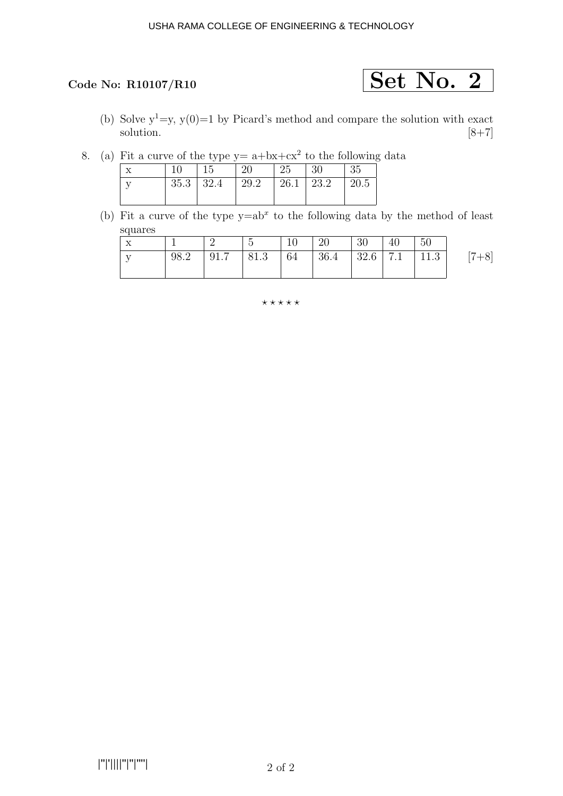

- (b) Solve y<sup>1</sup>=y, y(0)=1 by Picard's method and compare the solution with exact solution. [8+7] solution.  $[8+7]$
- 8. (a) Fit a curve of the type  $y = a + bx + cx^2$  to the following data

| 10 | 15              | 20          | $\frac{1}{25}$ | -30         | 35     |
|----|-----------------|-------------|----------------|-------------|--------|
|    | $35.3 \pm 32.4$ | $\mid$ 29.2 |                | 26.1   23.2 | $20.5$ |
|    |                 |             |                |             |        |

(b) Fit a curve of the type  $y=ab^x$  to the following data by the method of least squares

| $\tau$<br>$\Lambda$ |      |      |      | 10 | 20                                                 | 30 | 40 | 50 |         |
|---------------------|------|------|------|----|----------------------------------------------------|----|----|----|---------|
|                     | 98.2 | 91.7 | 81.3 | 64 | $\vert 36.4 \vert 32.6 \vert 7.1 \vert 11.3 \vert$ |    |    |    | $[7+8]$ |

 $\star\star\star\star\star$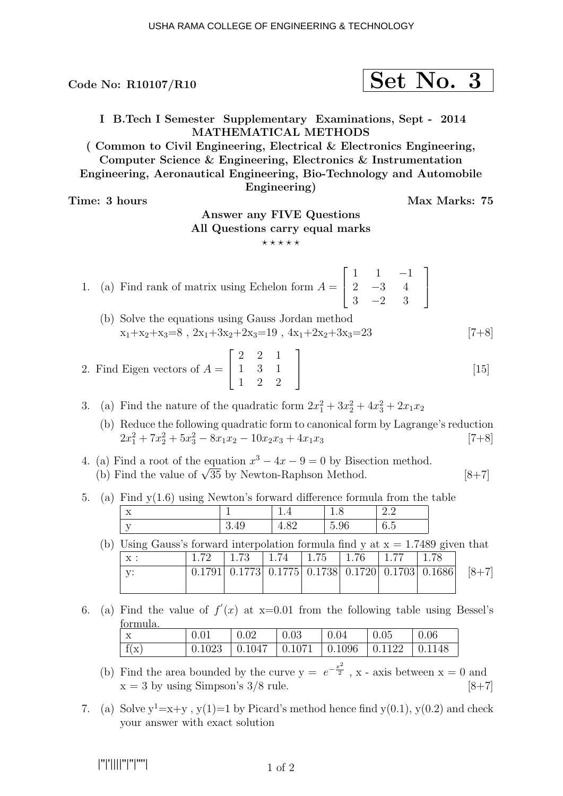Code No: R10107/R10  $\vert$  Set No. 3

I B.Tech I Semester Supplementary Examinations, Sept - 2014 MATHEMATICAL METHODS

( Common to Civil Engineering, Electrical & Electronics Engineering, Computer Science & Engineering, Electronics & Instrumentation Engineering, Aeronautical Engineering, Bio-Technology and Automobile Engineering)

Time: 3 hours Max Marks: 75

1

 $\overline{1}$ 

[15]

## Answer any FIVE Questions All Questions carry equal marks

 $***$ \*\*

- 1. (a) Find rank of matrix using Echelon form  $A =$  $\sqrt{ }$  $\overline{\phantom{a}}$  $\frac{1}{2}$   $\frac{1}{2}$   $\frac{-1}{4}$  $\begin{array}{ccc} 2 & -3 & 4 \\ 2 & 2 & 3 \end{array}$  $3 -2 3$ 
	- (b) Solve the equations using Gauss Jordan method  $x_1+x_2+x_3=8$ ,  $2x_1+3x_2+2x_3=19$ ,  $4x_1+2x_2+3x_3=23$  [7+8]

1

- 2. Find Eigen vectors of  $A =$  $\sqrt{ }$  $\overline{\phantom{a}}$ 2 2 1 1 3 1 1 2 2
- 3. (a) Find the nature of the quadratic form  $2x_1^2 + 3x_2^2 + 4x_3^2 + 2x_1x_2$ 
	- (b) Reduce the following quadratic form to canonical form by Lagrange's reduction  $2x_1^2 + 7x_2^2 + 5x_3^2 - 8x_1x_2 - 10x_2x_3 + 4x_1x_3$  [7+8]
- 4. (a) Find a root of the equation  $x^3 4x 9 = 0$  by Bisection method. (b) Find the value of  $\sqrt{35}$  by Newton-Raphson Method. [8+7]

| X               | ۰                    |      | $\mathbf{1} \cdot \mathbf{0}$                          |                                 |
|-----------------|----------------------|------|--------------------------------------------------------|---------------------------------|
| $_{\rm V}$<br>◡ | $\epsilon$ 1<br>ひ・エノ | –…∪∠ | $\sim$ $\sim$<br>$\overline{\phantom{0}}$<br>щ<br>∪.∪∪ | $\overline{\phantom{0}}$<br>∪.∪ |
|                 |                      |      |                                                        |                                 |

(b) Using Gauss's forward interpolation formula find y at  $x = 1.7489$  given that x :  $1.72$   $1.73$   $1.74$   $1.75$   $1.76$   $1.77$   $1.78$ 

| $\Lambda$ . |  | $1.12$ $1.10$ $1.14$ $1.10$ $1.10$ $1.11$ $1.10$                                 |  |  |  |
|-------------|--|----------------------------------------------------------------------------------|--|--|--|
|             |  | $\mid$ 0.1791   0.1773   0.1775   0.1738   0.1720   0.1703   0.1686   $\mid$ 8+7 |  |  |  |

6. (a) Find the value of  $f'(x)$  at  $x=0.01$  from the following table using Bessel's formula.

| X    | 0.02 | 0.03                                                            | 0.04 | $^{\circ}$ 0.05 | 0.06 |
|------|------|-----------------------------------------------------------------|------|-----------------|------|
| f(x) |      | $0.1023$   $0.1047$   $0.1071$   $0.1096$   $0.1122$   $0.1148$ |      |                 |      |

- (b) Find the area bounded by the curve  $y = e^{-\frac{x^2}{2}}$ , x axis between  $x = 0$  and  $x = 3$  by using Simpson's  $3/8$  rule. [8+7]
- 7. (a) Solve  $y^1=x+y$ ,  $y(1)=1$  by Picard's method hence find  $y(0.1)$ ,  $y(0.2)$  and check your answer with exact solution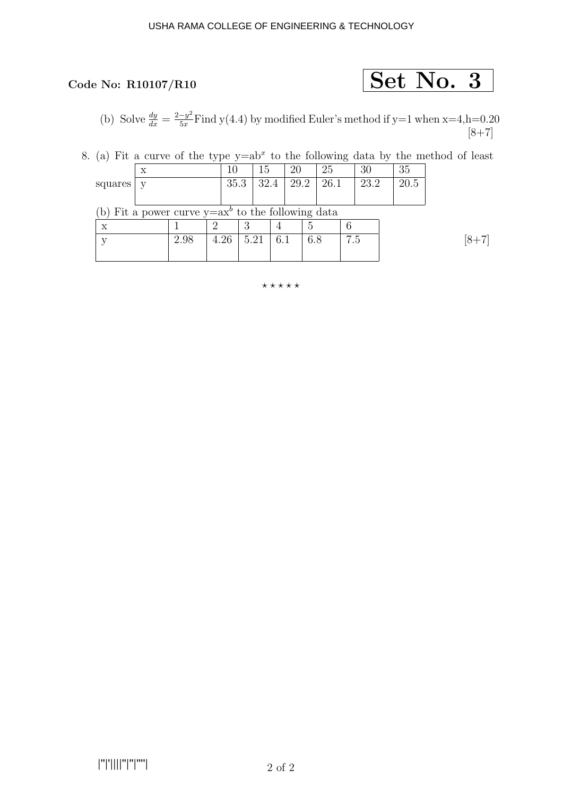# Code No: R10107/R10  $\qquad Set No. 3$

(b) Solve  $\frac{dy}{dx} = \frac{2-y^2}{5x}$  $\frac{-y^2}{5x}$  Find y(4.4) by modified Euler's method if y=1 when x=4,h=0.20  $[8+7]$ 

8. (a) Fit a curve of the type  $y=ab^x$  to the following data by the method of least

|                           | $\boldsymbol{\mathrm{X}}$                            |      | 10                   | Тp   |      | 20   | 25   | 30   | 35   |           |
|---------------------------|------------------------------------------------------|------|----------------------|------|------|------|------|------|------|-----------|
| squares                   |                                                      |      | 35.3                 |      | 32.4 | 29.2 | 26.1 | 23.2 | 20.5 |           |
|                           |                                                      |      |                      |      |      |      |      |      |      |           |
|                           | (b) Fit a power curve $y=ax^b$ to the following data |      |                      |      |      |      |      |      |      |           |
| $\boldsymbol{\mathrm{X}}$ |                                                      |      | $\ddot{\phantom{0}}$ |      |      |      |      |      |      |           |
|                           |                                                      | 2.98 | 4.26                 | 5.21 | 6.1  | 6.8  |      | 7.5  |      | $[8 + 7]$ |
|                           |                                                      |      |                      |      |      |      |      |      |      |           |

 $\star\star\star\star\star$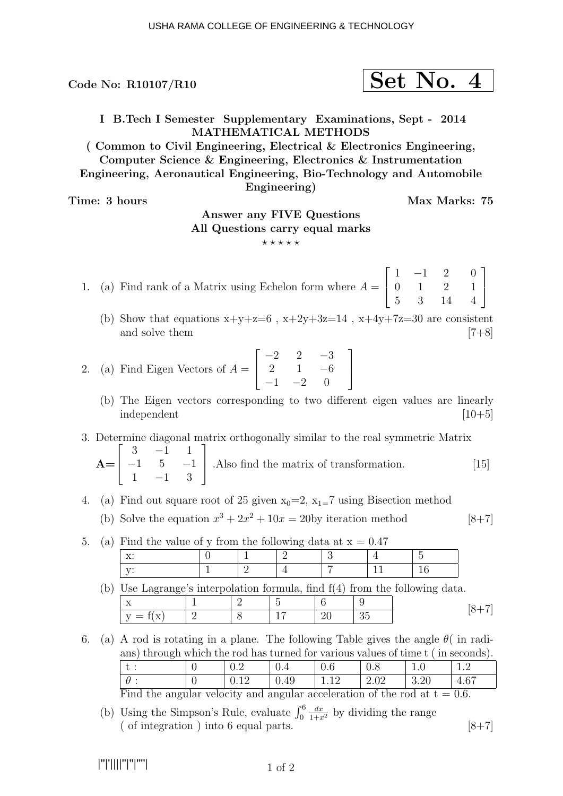Code No:  $R10107/R10$ 

$$
\fbox{Set No. 4}
$$

I B.Tech I Semester Supplementary Examinations, Sept - 2014 MATHEMATICAL METHODS

( Common to Civil Engineering, Electrical & Electronics Engineering, Computer Science & Engineering, Electronics & Instrumentation Engineering, Aeronautical Engineering, Bio-Technology and Automobile Engineering)

Time: 3 hours Max Marks: 75

### Answer any FIVE Questions All Questions carry equal marks

 $***$ \*\*

- 1. (a) Find rank of a Matrix using Echelon form where  $A =$  $\sqrt{ }$  $\overline{\phantom{a}}$  $1 -1 2$ 0 1 2 5 3 14 0 1 4 1  $\overline{1}$ 
	- (b) Show that equations  $x+y+z=6$ ,  $x+2y+3z=14$ ,  $x+4y+7z=30$  are consistent and solve them [7+8]
- 2. (a) Find Eigen Vectors of  $A =$  $\sqrt{ }$  $\overline{\phantom{a}}$  $-2$  2  $-3$  $2 \t 1 \t -6$  $-1$   $-2$  0 1  $\overline{1}$ 
	- (b) The Eigen vectors corresponding to two different eigen values are linearly  $\mu$  independent  $[10+5]$

### 3. Determine diagonal matrix orthogonally similar to the real symmetric Matrix

 $A=$  $\sqrt{ }$  $\overline{\phantom{a}}$  $3 -1 \quad 1$  $-1$  5  $-1$  $1 -1 3$ 1 .Also find the matrix of transformation. [15]

- 4. (a) Find out square root of 25 given  $x_0=2$ ,  $x_1=7$  using Bisection method
	- (b) Solve the equation  $x^3 + 2x^2 + 10x = 20$  by iteration method [8+7]

|  | (a) Find the value of y from the following data at $x = 0.47$ |  |  |  |  |  |  |  |  |  |  |
|--|---------------------------------------------------------------|--|--|--|--|--|--|--|--|--|--|
|  |                                                               |  |  |  |  |  |  |  |  |  |  |
|  |                                                               |  |  |  |  |  |  |  |  |  |  |

(b) Use Lagrange's interpolation formula, find f(4) from the following data.

| --<br>$\rightarrow$<br>$ -$ |                       |  |     |    |  |
|-----------------------------|-----------------------|--|-----|----|--|
|                             | __<br>.<br><b>. .</b> |  | - 7 | ಲ೬ |  |

6. (a) A rod is rotating in a plane. The following Table gives the angle  $\theta$  (in radians) through which the rod has turned for various values of time t ( in seconds). t : 0 0.2 0.4 0.6 0.8 1.0 1.2

| $\theta$                                                                     | $\degree$ 0.12 | $\pm 0.49$ | $\perp$ 1.12 | $\mid$ 2.02 | 3.20 | 4.67 |
|------------------------------------------------------------------------------|----------------|------------|--------------|-------------|------|------|
| Find the angular velocity and angular acceleration of the rod at $t = 0.6$ . |                |            |              |             |      |      |

(b) Using the Simpson's Rule, evaluate  $\int_0^6$  $\frac{dx}{1+x^2}$  by dividing the range  $\left( \text{ of integration } \right)$  into 6 equal parts.  $\left[ 8+7 \right]$ 

|''|'||||''|''|''''|